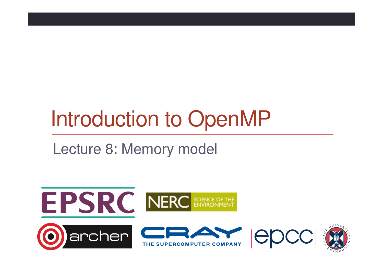# Introduction to OpenMP

Lecture 8: Memory model

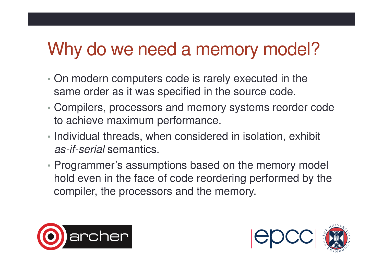### Why do we need a memory model?

- • On modern computers code is rarely executed in the same order as it was specified in the source code.
- • Compilers, processors and memory systems reorder code to achieve maximum performance.
- Individual threads, when considered in isolation, exhibit *as-if-serial* semantics.
- Programmer's assumptions based on the memory model hold even in the face of code reordering performed by the compiler, the processors and the memory.



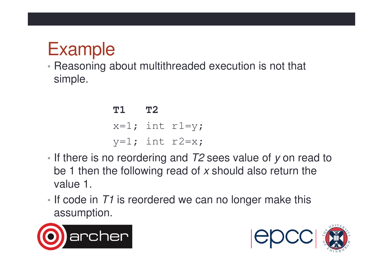### Example

 • Reasoning about multithreaded execution is not that simple.

**T1 T2** x=1; int r1=y; y=1; int r2=x;

- If there is no reordering and  $T2$  sees value of y on read to be 1 then the following read of x should also return the value 1.
- If code in  $T1$  is reordered we can no longer make this assumption.



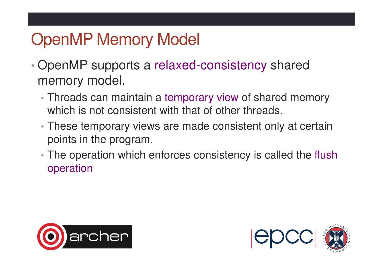### OpenMP Memory Model

- • OpenMP supports a relaxed-consistency shared memory model.
	- Threads can maintain a temporary view of shared memory which is not consistent with that of other threads.
	- These temporary views are made consistent only at certain points in the program.
	- The operation which enforces consistency is called the flush operation



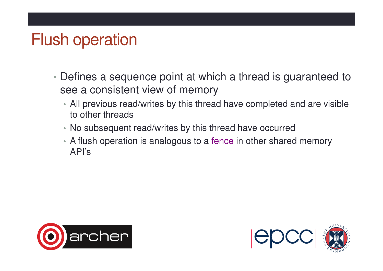#### Flush operation

- Defines a sequence point at which a thread is guaranteed to see a consistent view of memory
	- All previous read/writes by this thread have completed and are visible to other threads
	- No subsequent read/writes by this thread have occurred
	- A flush operation is analogous to a fence in other shared memory API's



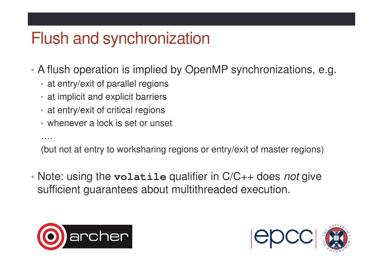#### Flush and synchronization

- • A flush operation is implied by OpenMP synchronizations, e.g.
	- at entry/exit of parallel regions
	- at implicit and explicit barriers
	- at entry/exit of critical regions
	- whenever a lock is set or unset

(but not at entry to worksharing regions or entry/exit of master regions)

• Note: using the **volatile** qualifier in C/C++ does not give sufficient guarantees about multithreaded execution.



….

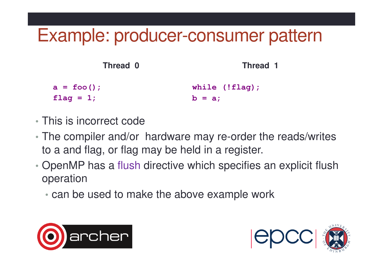### Example: producer-consumer pattern

| Thread 0      | Thread 1          |
|---------------|-------------------|
| $a = foo()$ ; | while $(!flag)$ ; |
| flag = $1$ ;  | $b = a$ ;         |

- This is incorrect code
- The compiler and/or hardware may re-order the reads/writes to a and flag, or flag may be held in a register.
- •• OpenMP has a flush directive which specifies an explicit flush operation
	- can be used to make the above example work



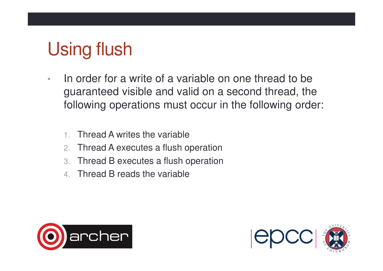# Using flush

- • In order for a write of a variable on one thread to be guaranteed visible and valid on a second thread, the following operations must occur in the following order:
	- 1.Thread A writes the variable
	- 2.Thread A executes a flush operation
	- 3.Thread B executes a flush operation
	- 4. Thread B reads the variable



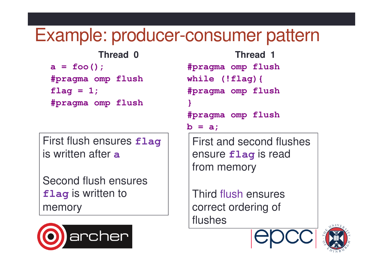#### Example: producer-consumer pattern

**Thread 0**

**a = foo(); #pragma omp flushflag = 1;#pragma omp flush**

First flush ensures **flag**is written after **a**

Second flush ensures **flag** is written to memory



```
Thread 1
#pragma omp flushwhile (!flag){#pragma omp flush} 
#pragma omp flushb = a;
```
First and second flushes ensure **flag** is read from memory

Third flush ensures correct ordering of flushes